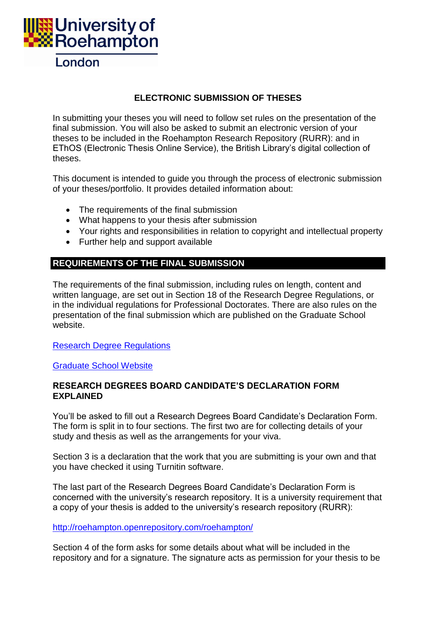

### **ELECTRONIC SUBMISSION OF THESES**

In submitting your theses you will need to follow set rules on the presentation of the final submission. You will also be asked to submit an electronic version of your theses to be included in the Roehampton Research Repository (RURR): and in EThOS (Electronic Thesis Online Service), the British Library's digital collection of theses.

This document is intended to guide you through the process of electronic submission of your theses/portfolio. It provides detailed information about:

- The requirements of the final submission
- What happens to your thesis after submission
- Your rights and responsibilities in relation to copyright and intellectual property
- Further help and support available

# **REQUIREMENTS OF THE FINAL SUBMISSION**

The requirements of the final submission, including rules on length, content and written language, are set out in Section 18 of the Research Degree Regulations, or in the individual regulations for Professional Doctorates. There are also rules on the presentation of the final submission which are published on the Graduate School website.

[Research Degree Regulations](http://www.roehampton.ac.uk/uploadedFiles/Pages_Assets/PDFs_and_Word_Docs/Corporate_Information/Research-Degree-Regulations.pdf)

[Graduate School Website](http://www.roehampton.ac.uk/Courses/Graduate-School/)

#### **RESEARCH DEGREES BOARD CANDIDATE'S DECLARATION FORM EXPLAINED**

You'll be asked to fill out a Research Degrees Board Candidate's Declaration Form. The form is split in to four sections. The first two are for collecting details of your study and thesis as well as the arrangements for your viva.

Section 3 is a declaration that the work that you are submitting is your own and that you have checked it using Turnitin software.

The last part of the Research Degrees Board Candidate's Declaration Form is concerned with the university's research repository. It is a university requirement that a copy of your thesis is added to the university's research repository (RURR):

<http://roehampton.openrepository.com/roehampton/>

Section 4 of the form asks for some details about what will be included in the repository and for a signature. The signature acts as permission for your thesis to be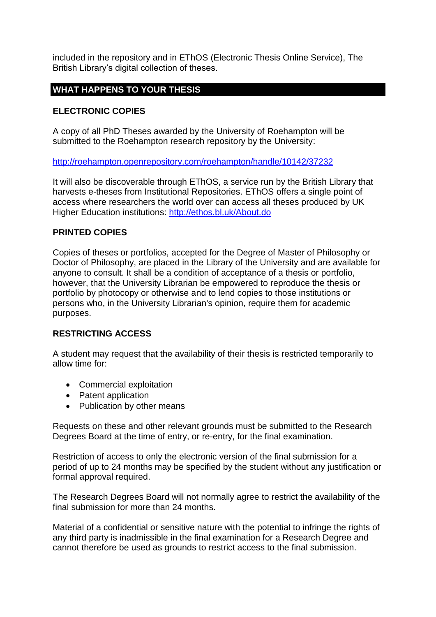included in the repository and in EThOS (Electronic Thesis Online Service), The British Library's digital collection of theses.

## **WHAT HAPPENS TO YOUR THESIS**

### **ELECTRONIC COPIES**

A copy of all PhD Theses awarded by the University of Roehampton will be submitted to the Roehampton research repository by the University:

[http://roehampton.openrepository.com/roehampton/handle/10142/37232](http://roehampton.openrepository.com/roehampton/handle/10142/37232http:/roehampton.openrepository.com/roehampton/handle/10142/37232)

It will also be discoverable through EThOS, a service run by the British Library that harvests e-theses from Institutional Repositories. EThOS offers a single point of access where researchers the world over can access all theses produced by UK Higher Education institutions:<http://ethos.bl.uk/About.do>

#### **PRINTED COPIES**

Copies of theses or portfolios, accepted for the Degree of Master of Philosophy or Doctor of Philosophy, are placed in the Library of the University and are available for anyone to consult. It shall be a condition of acceptance of a thesis or portfolio, however, that the University Librarian be empowered to reproduce the thesis or portfolio by photocopy or otherwise and to lend copies to those institutions or persons who, in the University Librarian's opinion, require them for academic purposes.

#### **RESTRICTING ACCESS**

A student may request that the availability of their thesis is restricted temporarily to allow time for:

- Commercial exploitation
- Patent application
- Publication by other means

Requests on these and other relevant grounds must be submitted to the Research Degrees Board at the time of entry, or re-entry, for the final examination.

Restriction of access to only the electronic version of the final submission for a period of up to 24 months may be specified by the student without any justification or formal approval required.

The Research Degrees Board will not normally agree to restrict the availability of the final submission for more than 24 months.

Material of a confidential or sensitive nature with the potential to infringe the rights of any third party is inadmissible in the final examination for a Research Degree and cannot therefore be used as grounds to restrict access to the final submission.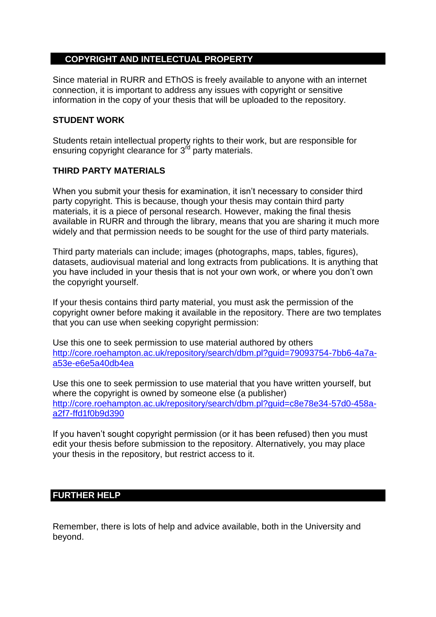### **COPYRIGHT AND INTELECTUAL PROPERTY**

Since material in RURR and EThOS is freely available to anyone with an internet connection, it is important to address any issues with copyright or sensitive information in the copy of your thesis that will be uploaded to the repository.

#### **STUDENT WORK**

Students retain intellectual property rights to their work, but are responsible for ensuring copyright clearance for  $3<sup>rd</sup>$  party materials.

#### **THIRD PARTY MATERIALS**

When you submit your thesis for examination, it isn't necessary to consider third party copyright. This is because, though your thesis may contain third party materials, it is a piece of personal research. However, making the final thesis available in RURR and through the library, means that you are sharing it much more widely and that permission needs to be sought for the use of third party materials.

Third party materials can include; images (photographs, maps, tables, figures), datasets, audiovisual material and long extracts from publications. It is anything that you have included in your thesis that is not your own work, or where you don't own the copyright yourself.

If your thesis contains third party material, you must ask the permission of the copyright owner before making it available in the repository. There are two templates that you can use when seeking copyright permission:

Use this one to seek permission to use material authored by others [http://core.roehampton.ac.uk/repository/search/dbm.pl?guid=79093754-7bb6-4a7a](http://core.roehampton.ac.uk/repository/search/dbm.pl?guid=79093754-7bb6-4a7a-a53e-e6e5a40db4ea)[a53e-e6e5a40db4ea](http://core.roehampton.ac.uk/repository/search/dbm.pl?guid=79093754-7bb6-4a7a-a53e-e6e5a40db4ea)

Use this one to seek permission to use material that you have written yourself, but where the copyright is owned by someone else (a publisher) [http://core.roehampton.ac.uk/repository/search/dbm.pl?guid=c8e78e34-57d0-458a](http://core.roehampton.ac.uk/repository/search/dbm.pl?guid=c8e78e34-57d0-458a-a2f7-ffd1f0b9d390)[a2f7-ffd1f0b9d390](http://core.roehampton.ac.uk/repository/search/dbm.pl?guid=c8e78e34-57d0-458a-a2f7-ffd1f0b9d390)

If you haven't sought copyright permission (or it has been refused) then you must edit your thesis before submission to the repository. Alternatively, you may place your thesis in the repository, but restrict access to it.

### **FURTHER HELP**

Remember, there is lots of help and advice available, both in the University and beyond.